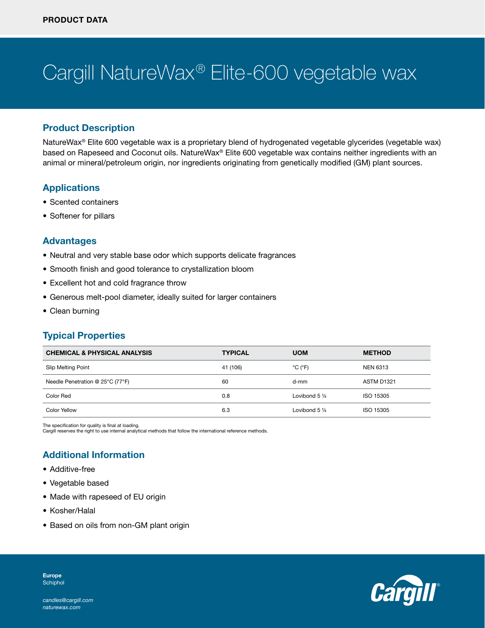# Cargill NatureWax<sup>®</sup> Elite-600 vegetable wax

## Product Description

NatureWax® Elite 600 vegetable wax is a proprietary blend of hydrogenated vegetable glycerides (vegetable wax) based on Rapeseed and Coconut oils. NatureWax® Elite 600 vegetable wax contains neither ingredients with an animal or mineral/petroleum origin, nor ingredients originating from genetically modified (GM) plant sources.

# Applications

- Scented containers
- Softener for pillars

### Advantages

- Neutral and very stable base odor which supports delicate fragrances
- Smooth finish and good tolerance to crystallization bloom
- Excellent hot and cold fragrance throw
- Generous melt-pool diameter, ideally suited for larger containers
- Clean burning

# Typical Properties

| <b>CHEMICAL &amp; PHYSICAL ANALYSIS</b> | <b>TYPICAL</b> | <b>UOM</b>                   | <b>METHOD</b>   |
|-----------------------------------------|----------------|------------------------------|-----------------|
| Slip Melting Point                      | 41 (106)       | $^{\circ}$ C ( $^{\circ}$ F) | <b>NEN 6313</b> |
| Needle Penetration @ 25°C (77°F)        | 60             | d-mm                         | ASTM D1321      |
| Color Red                               | 0.8            | Lovibond $5\frac{1}{4}$      | ISO 15305       |
| Color Yellow                            | 6.3            | Lovibond $5\frac{1}{4}$      | ISO 15305       |

The specification for quality is final at loading.

Cargill reserves the right to use internal analytical methods that follow the international reference methods.

# Additional Information

- Additive-free
- Vegetable based
- Made with rapeseed of EU origin
- Kosher/Halal
- Based on oils from non-GM plant origin



**Schiphol** 

Europe